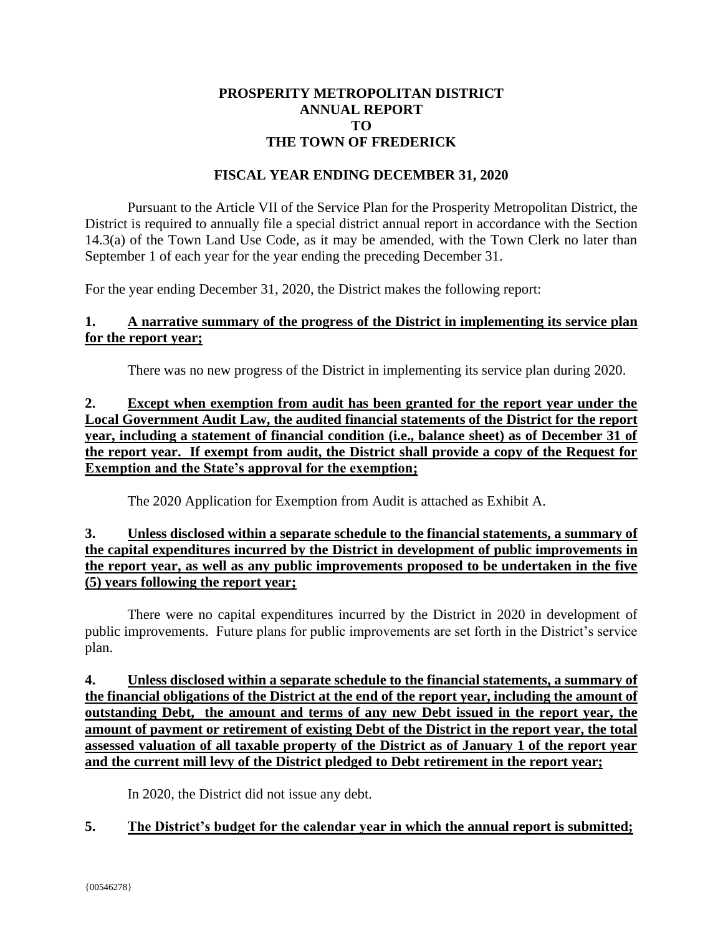#### **PROSPERITY METROPOLITAN DISTRICT ANNUAL REPORT TO THE TOWN OF FREDERICK**

#### **FISCAL YEAR ENDING DECEMBER 31, 2020**

Pursuant to the Article VII of the Service Plan for the Prosperity Metropolitan District, the District is required to annually file a special district annual report in accordance with the Section 14.3(a) of the Town Land Use Code, as it may be amended, with the Town Clerk no later than September 1 of each year for the year ending the preceding December 31.

For the year ending December 31, 2020, the District makes the following report:

### **1. A narrative summary of the progress of the District in implementing its service plan for the report year;**

There was no new progress of the District in implementing its service plan during 2020.

### **2. Except when exemption from audit has been granted for the report year under the Local Government Audit Law, the audited financial statements of the District for the report year, including a statement of financial condition (i.e., balance sheet) as of December 31 of the report year. If exempt from audit, the District shall provide a copy of the Request for Exemption and the State's approval for the exemption;**

The 2020 Application for Exemption from Audit is attached as Exhibit A.

### **3. Unless disclosed within a separate schedule to the financial statements, a summary of the capital expenditures incurred by the District in development of public improvements in the report year, as well as any public improvements proposed to be undertaken in the five (5) years following the report year;**

There were no capital expenditures incurred by the District in 2020 in development of public improvements. Future plans for public improvements are set forth in the District's service plan.

**4. Unless disclosed within a separate schedule to the financial statements, a summary of the financial obligations of the District at the end of the report year, including the amount of outstanding Debt, the amount and terms of any new Debt issued in the report year, the amount of payment or retirement of existing Debt of the District in the report year, the total assessed valuation of all taxable property of the District as of January 1 of the report year and the current mill levy of the District pledged to Debt retirement in the report year;** 

In 2020, the District did not issue any debt.

### **5. The District's budget for the calendar year in which the annual report is submitted;**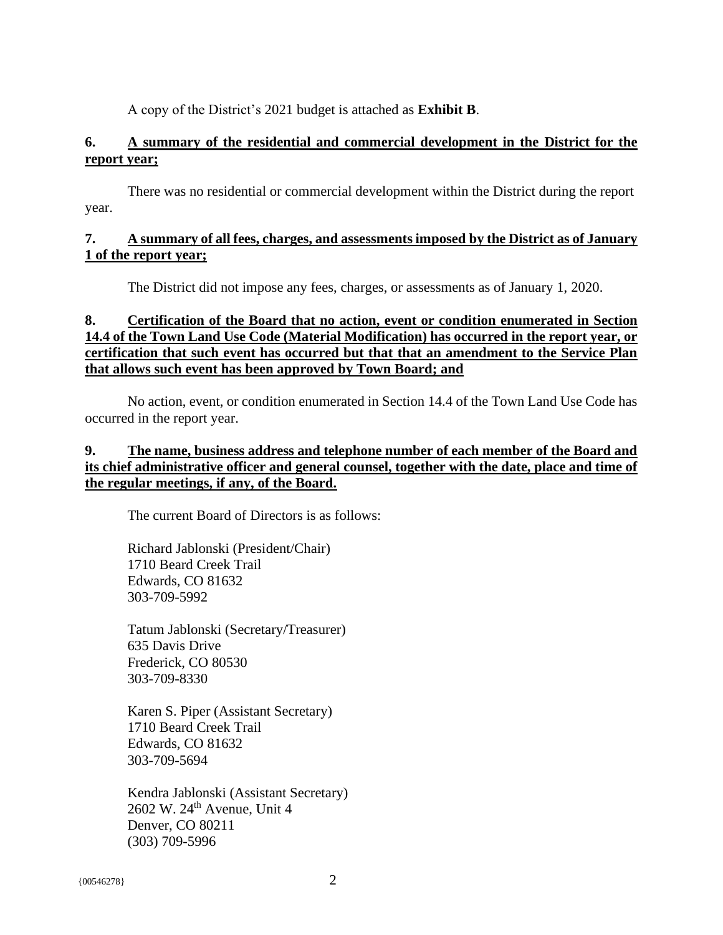A copy of the District's 2021 budget is attached as **Exhibit B**.

### **6. A summary of the residential and commercial development in the District for the report year;**

There was no residential or commercial development within the District during the report year.

#### **7. A summary of all fees, charges, and assessments imposed by the District as of January 1 of the report year;**

The District did not impose any fees, charges, or assessments as of January 1, 2020.

### **8. Certification of the Board that no action, event or condition enumerated in Section 14.4 of the Town Land Use Code (Material Modification) has occurred in the report year, or certification that such event has occurred but that that an amendment to the Service Plan that allows such event has been approved by Town Board; and**

No action, event, or condition enumerated in Section 14.4 of the Town Land Use Code has occurred in the report year.

### **9. The name, business address and telephone number of each member of the Board and its chief administrative officer and general counsel, together with the date, place and time of the regular meetings, if any, of the Board.**

The current Board of Directors is as follows:

Richard Jablonski (President/Chair) 1710 Beard Creek Trail Edwards, CO 81632 303-709-5992

Tatum Jablonski (Secretary/Treasurer) 635 Davis Drive Frederick, CO 80530 303-709-8330

Karen S. Piper (Assistant Secretary) 1710 Beard Creek Trail Edwards, CO 81632 303-709-5694

Kendra Jablonski (Assistant Secretary) 2602 W. 24<sup>th</sup> Avenue, Unit 4 Denver, CO 80211 (303) 709-5996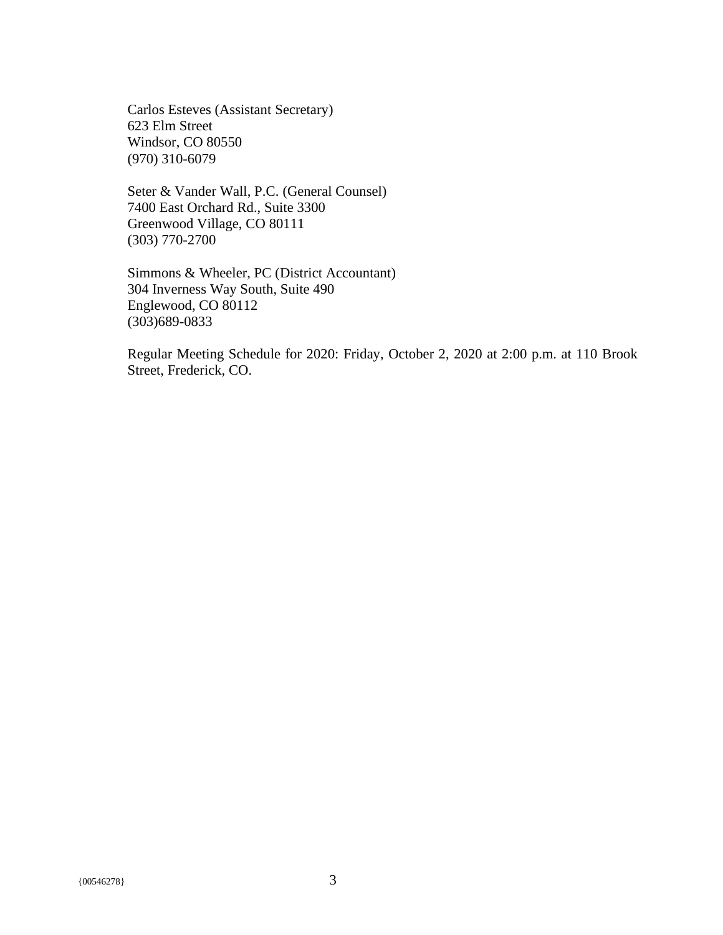Carlos Esteves (Assistant Secretary) 623 Elm Street Windsor, CO 80550 (970) 310-6079

Seter & Vander Wall, P.C. (General Counsel) 7400 East Orchard Rd., Suite 3300 Greenwood Village, CO 80111 (303) 770-2700

Simmons & Wheeler, PC (District Accountant) 304 Inverness Way South, Suite 490 Englewood, CO 80112 (303)689-0833

Regular Meeting Schedule for 2020: Friday, October 2, 2020 at 2:00 p.m. at 110 Brook Street, Frederick, CO.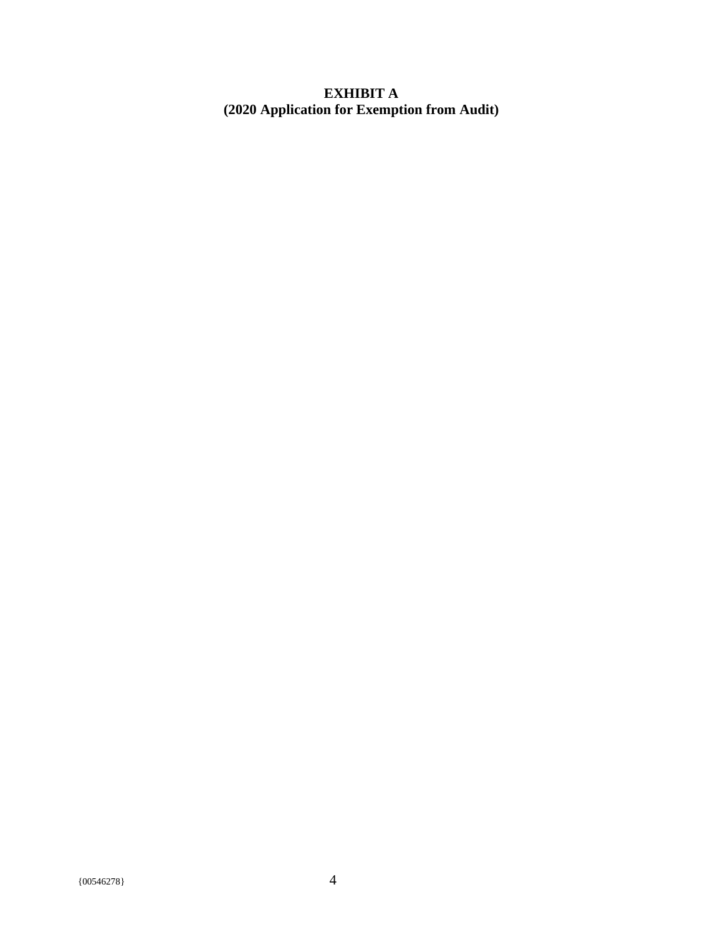### **EXHIBIT A (2020 Application for Exemption from Audit)**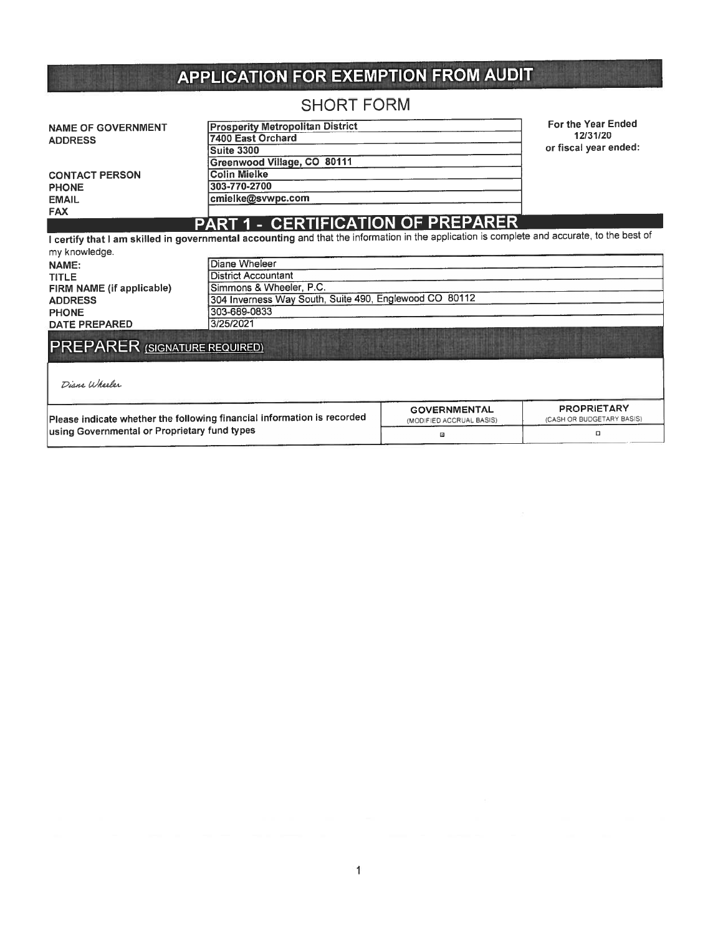# APPLICATION FOR EXEMPTION FROM AUDIT

# SHORT FORM

| <b>NAME OF GOVERNMENT</b> | <b>Prosperity Metropolitan District</b> | For the Year Ended    |
|---------------------------|-----------------------------------------|-----------------------|
| <b>ADDRESS</b>            | 7400 East Orchard                       | 12/31/20              |
|                           | Suite 3300                              | or fiscal year ended: |
|                           | Greenwood Village, CO 80111             |                       |
| <b>CONTACT PERSON</b>     | <b>Colin Mielke</b>                     |                       |
| <b>PHONE</b>              | 303-770-2700                            |                       |
| <b>EMAIL</b>              | cmielke@svwpc.com                       |                       |
| <b>FAX</b>                |                                         |                       |
|                           | PART 1 - CERTIFICATION OF PREPARER      |                       |

I certify that I am skilled in governmental accounting and that the information in the application is complete and accurate, to the best of my knowledge.

| NAME:                                                 | Diane Wheleer                                                           |                                                 |                                                 |  |  |  |  |  |
|-------------------------------------------------------|-------------------------------------------------------------------------|-------------------------------------------------|-------------------------------------------------|--|--|--|--|--|
| <b>TITLE</b>                                          | <b>District Accountant</b>                                              |                                                 |                                                 |  |  |  |  |  |
| FIRM NAME (if applicable)                             | Simmons & Wheeler, P.C.                                                 |                                                 |                                                 |  |  |  |  |  |
| <b>ADDRESS</b>                                        | 304 Inverness Way South, Suite 490, Englewood CO 80112                  |                                                 |                                                 |  |  |  |  |  |
| <b>PHONE</b>                                          | 303-689-0833                                                            |                                                 |                                                 |  |  |  |  |  |
| <b>DATE PREPARED</b>                                  | 3/25/2021                                                               |                                                 |                                                 |  |  |  |  |  |
| <b>PREPARER (SIGNATURE REQUIRED)</b><br>Diane Wheeler |                                                                         |                                                 |                                                 |  |  |  |  |  |
|                                                       | Please indicate whether the following financial information is recorded | <b>GOVERNMENTAL</b><br>(MODIFIED ACCRUAL BASIS) | <b>PROPRIETARY</b><br>(CASH OR BUDGETARY BASIS) |  |  |  |  |  |
| using Governmental or Proprietary fund types          |                                                                         | 図                                               | $\Box$                                          |  |  |  |  |  |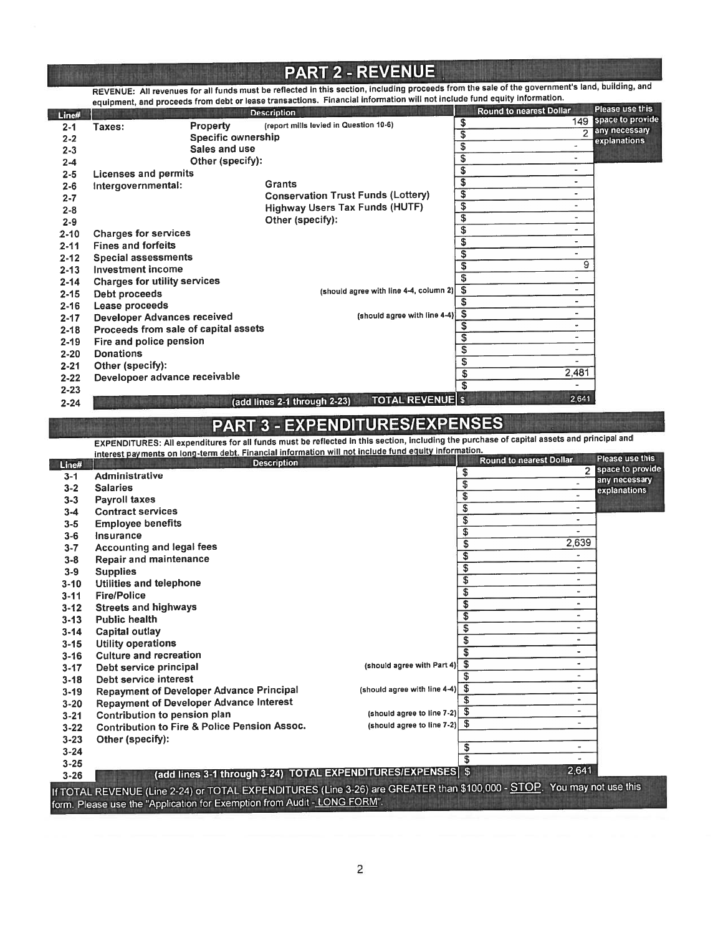### PART 2- REVENUE

REVENUE: All revenues for all funds must be reflected in this section, including proceeds from the sale of the government's land, building, and equipment, and proceeds from debt or lease transactions. Financial information will not include fund equity information

| Line#    |                                      |                    | <b>Description</b>                                      |    | Round to nearest Dollar  | <b>Please use this</b>        |
|----------|--------------------------------------|--------------------|---------------------------------------------------------|----|--------------------------|-------------------------------|
| $2 - 1$  | Taxes:                               | Property           | (report mills levied in Question 10-6)                  | \$ | 149                      | space to provide              |
| $2 - 2$  |                                      | Specific ownership |                                                         | \$ | っ                        | any necessary<br>explanations |
| $2 - 3$  |                                      | Sales and use      |                                                         | \$ |                          |                               |
| $2 - 4$  |                                      | Other (specify):   |                                                         | \$ | ٠                        |                               |
| $2 - 5$  | Licenses and permits                 |                    |                                                         | \$ | ٠                        |                               |
| $2 - 6$  | Intergovernmental:                   |                    | Grants                                                  | \$ | ۰.                       |                               |
| $2 - 7$  |                                      |                    | <b>Conservation Trust Funds (Lottery)</b>               | \$ | ٠                        |                               |
| $2 - 8$  |                                      |                    | <b>Highway Users Tax Funds (HUTF)</b>                   | \$ | ٠                        |                               |
| $2 - 9$  |                                      |                    | Other (specify):                                        | \$ | $\overline{\phantom{a}}$ |                               |
| $2 - 10$ | <b>Charges for services</b>          |                    |                                                         | \$ | ٠                        |                               |
| $2 - 11$ | <b>Fines and forfeits</b>            |                    |                                                         | \$ | ۰                        |                               |
| $2 - 12$ | <b>Special assessments</b>           |                    |                                                         | S  | ٠                        |                               |
| $2 - 13$ | <b>Investment income</b>             |                    |                                                         |    | 9                        |                               |
| $2 - 14$ | <b>Charges for utility services</b>  |                    |                                                         | \$ | ä,                       |                               |
| $2 - 15$ | Debt proceeds                        |                    | (should agree with line 4-4, column 2)                  | S  | ٠                        |                               |
| $2 - 16$ | Lease proceeds                       |                    |                                                         | S  | ٠                        |                               |
| $2 - 17$ | <b>Developer Advances received</b>   |                    | (should agree with line 4-4)                            | \$ | ٠                        |                               |
| $2 - 18$ | Proceeds from sale of capital assets |                    |                                                         | \$ | ٠                        |                               |
| $2 - 19$ | Fire and police pension              |                    |                                                         |    | ۰                        |                               |
| $2 - 20$ | <b>Donations</b>                     |                    |                                                         | \$ | ۰                        |                               |
| $2 - 21$ | Other (specify):                     |                    |                                                         |    | -                        |                               |
| $2 - 22$ | Developoer advance receivable        |                    |                                                         | \$ | 2,481                    |                               |
| $2 - 23$ |                                      |                    |                                                         | S  |                          |                               |
| $2 - 24$ |                                      |                    | <b>TOTAL REVENUE \$</b><br>(add lines 2-1 through 2-23) |    | 2,641                    |                               |

# PART 3- EXPENDITURESIEXPENSES

EXPENDITURES: All expenditures for all funds must be reflected in this section, including the purchase of capital assets and principal and

|          | interest payments on long-term debt. Financial information will not include fund equity information.                   |                                      |                                                  | Please use this  |
|----------|------------------------------------------------------------------------------------------------------------------------|--------------------------------------|--------------------------------------------------|------------------|
| Line#    | <b>Description</b>                                                                                                     |                                      | <b>Round to nearest Dollar</b><br>$\overline{a}$ | space to provide |
| $3 - 1$  | Administrative                                                                                                         | \$                                   |                                                  | any necessary    |
| $3 - 2$  | <b>Salaries</b>                                                                                                        | \$                                   | $\tilde{\phantom{a}}$                            | explanations     |
| $3 - 3$  | <b>Payroll taxes</b>                                                                                                   | \$                                   | ÷                                                |                  |
| $3 - 4$  | <b>Contract services</b>                                                                                               | \$                                   | $\overline{\phantom{a}}$                         |                  |
| $3 - 5$  | <b>Employee benefits</b>                                                                                               | $\overline{\boldsymbol{\mathsf{s}}}$ | $\overline{\phantom{0}}$                         |                  |
| $3 - 6$  | Insurance                                                                                                              | \$                                   | ٠                                                |                  |
| $3 - 7$  | <b>Accounting and legal fees</b>                                                                                       | $\overline{\mathfrak{s}}$            | 2,639                                            |                  |
| $3 - 8$  | <b>Repair and maintenance</b>                                                                                          | \$                                   | ٠                                                |                  |
| $3-9$    | <b>Supplies</b>                                                                                                        | \$                                   | -                                                |                  |
| $3 - 10$ | Utilities and telephone                                                                                                | \$                                   | u.                                               |                  |
| $3 - 11$ | <b>Fire/Police</b>                                                                                                     | \$                                   | -                                                |                  |
| $3 - 12$ | <b>Streets and highways</b>                                                                                            | \$                                   | $\blacksquare$                                   |                  |
| $3 - 13$ | <b>Public health</b>                                                                                                   | $\overline{\mathfrak{s}}$            | -                                                |                  |
| $3 - 14$ | Capital outlay                                                                                                         | \$                                   | ٠                                                |                  |
| $3 - 15$ | <b>Utility operations</b>                                                                                              | $\overline{\boldsymbol{s}}$          | -                                                |                  |
| $3 - 16$ | <b>Culture and recreation</b>                                                                                          | S                                    | $\overline{\phantom{0}}$                         |                  |
|          | (should agree with Part 4)                                                                                             | \$                                   |                                                  |                  |
| $3 - 17$ | Debt service principal<br>Debt service interest                                                                        | S                                    | ٠                                                |                  |
| $3 - 18$ | (should agree with line $4-4$ ) $\boxed{ }$<br><b>Repayment of Developer Advance Principal</b>                         |                                      | u,                                               |                  |
| $3 - 19$ | <b>Repayment of Developer Advance Interest</b>                                                                         | \$                                   | ٠                                                |                  |
| $3 - 20$ | (should agree to line 7-2) $\frac{1}{2}$                                                                               |                                      |                                                  |                  |
| $3 - 21$ | Contribution to pension plan<br>(should agree to line $7-2$ ) $\frac{6}{9}$                                            |                                      | $\overline{a}$                                   |                  |
| $3 - 22$ | <b>Contribution to Fire &amp; Police Pension Assoc.</b>                                                                |                                      |                                                  |                  |
| $3 - 23$ | Other (specify):                                                                                                       | \$                                   | $\overline{\phantom{0}}$                         |                  |
| $3 - 24$ |                                                                                                                        | $\overline{\mathbf{s}}$              |                                                  |                  |
| $3 - 25$ |                                                                                                                        |                                      | 2,641                                            |                  |
| $3 - 26$ | (add lines 3-1 through 3-24) TOTAL EXPENDITURES/EXPENSES \$                                                            |                                      |                                                  |                  |
|          | If TOTAL REVENUE (Line 2-24) or TOTAL EXPENDITURES (Line 3-26) are GREATER than \$100,000 - STOP. You may not use this |                                      |                                                  |                  |
|          | form. Please use the "Application for Exemption from Audit - LONG FORM".                                               |                                      |                                                  |                  |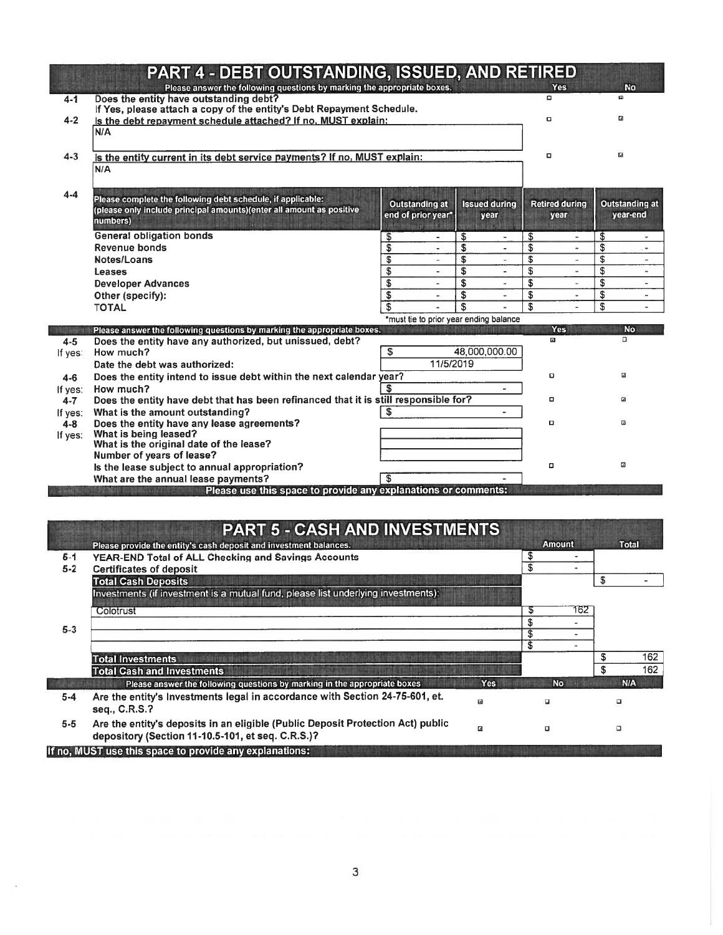|           | PART 4 - DEBT OUTSTANDING, ISSUED, AND RETIRED                                                                    |                                        |                                |                                           |                                |
|-----------|-------------------------------------------------------------------------------------------------------------------|----------------------------------------|--------------------------------|-------------------------------------------|--------------------------------|
| $4 - 1$   | Please answer the following questions by marking the appropriate boxes.<br>Does the entity have outstanding debt? |                                        |                                | <b>Yes</b><br>α                           | <b>No</b><br><b>G</b>          |
|           | If Yes, please attach a copy of the entity's Debt Repayment Schedule.                                             |                                        |                                |                                           |                                |
| $4 - 2$   | Is the debt repayment schedule attached? If no, MUST explain:                                                     |                                        |                                | $\Box$                                    | 區                              |
|           | N/A                                                                                                               |                                        |                                |                                           |                                |
| $4 - 3$   | Is the entity current in its debt service payments? If no, MUST explain:                                          |                                        |                                | $\Box$                                    | $\overline{a}$                 |
|           | N/A                                                                                                               |                                        |                                |                                           |                                |
|           |                                                                                                                   |                                        |                                |                                           |                                |
| $4 - 4$   | Please complete the following debt schedule, if applicable:                                                       | <b>Outstanding at</b>                  | <b>Issued during</b>           | <b>Retired during</b>                     | Outstanding at                 |
|           | (please only include principal amounts)(enter all amount as positive                                              | end of prior year*                     | year                           | year                                      | year-end                       |
|           | numbers)                                                                                                          |                                        |                                |                                           |                                |
|           | <b>General obligation bonds</b>                                                                                   | \$                                     | \$                             | \$<br>۰                                   | \$<br>$\overline{\phantom{a}}$ |
|           | Revenue bonds                                                                                                     | \$<br>$\overline{\phantom{a}}$         | \$<br>$\overline{\phantom{a}}$ | \$<br>$\blacksquare$                      | \$<br>$\overline{\phantom{a}}$ |
|           | Notes/Loans                                                                                                       | \$                                     | \$                             | \$<br>٠                                   | \$<br>-                        |
|           | Leases                                                                                                            | \$                                     | \$                             | \$<br>$\ddot{\phantom{a}}$                | \$                             |
|           | <b>Developer Advances</b>                                                                                         | \$<br>$\overline{\phantom{a}}$         | \$<br>$\sim$                   | \$<br>$\overline{\phantom{a}}$            | \$<br>$\overline{\phantom{a}}$ |
|           | Other (specify):                                                                                                  | \$<br>$\ddot{\phantom{1}}$             | \$                             | \$<br>$\overline{\phantom{a}}$            | \$<br>٠                        |
|           | <b>TOTAL</b>                                                                                                      | \$                                     | S                              | \$                                        | \$                             |
|           | Please answer the following questions by marking the appropriate boxes.                                           | *must tie to prior year ending balance |                                | <b>Yes</b>                                | <b>No</b>                      |
| $4 - 5$   | Does the entity have any authorized, but unissued, debt?                                                          |                                        |                                | $\Box$                                    | D.                             |
|           |                                                                                                                   |                                        |                                |                                           |                                |
| If yes:   | How much?                                                                                                         | \$                                     | 48,000,000.00                  |                                           |                                |
|           | Date the debt was authorized:                                                                                     | 11/5/2019                              |                                |                                           |                                |
| 4-6       | Does the entity intend to issue debt within the next calendar year?                                               |                                        |                                | o                                         | ⊡                              |
| If yes:   | How much?                                                                                                         |                                        |                                |                                           |                                |
| $4 - 7$   | Does the entity have debt that has been refinanced that it is still responsible for?                              |                                        |                                | ۰                                         | ø                              |
| If yes:   | What is the amount outstanding?                                                                                   |                                        |                                |                                           |                                |
| $4 - 8$   | Does the entity have any lease agreements?                                                                        |                                        |                                | α                                         | 囜                              |
| If $yes:$ | What is being leased?                                                                                             |                                        |                                |                                           |                                |
|           | What is the original date of the lease?                                                                           |                                        |                                |                                           |                                |
|           | Number of years of lease?                                                                                         |                                        |                                | $\Box$                                    | $\Box$                         |
|           | Is the lease subject to annual appropriation?                                                                     |                                        |                                |                                           |                                |
|           | What are the annual lease payments?<br><b>A STATE AND A CONTRACTOR</b>                                            | £.                                     |                                |                                           |                                |
|           | Please use this space to provide any explanations or comments:                                                    |                                        |                                |                                           |                                |
|           |                                                                                                                   |                                        |                                |                                           |                                |
|           |                                                                                                                   |                                        |                                |                                           |                                |
|           | <b>PART 5 - CASH AND INVESTMENTS</b>                                                                              |                                        |                                |                                           |                                |
|           | Please provide the entity's cash deposit and investment balances.                                                 |                                        |                                | <b>Amount</b><br>$\overline{\phantom{a}}$ | Total                          |
| $5 - 1$   | YEAR-END Total of ALL Checking and Savings Accounts                                                               |                                        |                                | \$                                        |                                |
| $5 - 2$   | <b>Certificates of deposit</b>                                                                                    |                                        |                                | $\overline{\mathfrak{s}}$                 | $\blacksquare$                 |
|           | <b>Total Cash Deposits</b>                                                                                        |                                        |                                |                                           | \$                             |
|           | Investments (if investment is a mutual fund, please list underlying investments):                                 |                                        |                                |                                           |                                |
|           | Colotrust                                                                                                         |                                        |                                | 162<br>\$                                 |                                |
| $5 - 3$   |                                                                                                                   |                                        |                                | \$<br>$\overline{\phantom{0}}$            |                                |
|           |                                                                                                                   |                                        |                                | \$<br>٠                                   |                                |
|           | <b>Total Investments</b>                                                                                          |                                        |                                | s<br>$\overline{\phantom{a}}$             | 162<br>\$                      |

|         | <b>PART 5 - CASH AND INVESTMENTS</b>                                                                                                 |            |                     |            |
|---------|--------------------------------------------------------------------------------------------------------------------------------------|------------|---------------------|------------|
|         | Please provide the entity's cash deposit and investment balances.                                                                    |            | <b>Amount</b>       | Total      |
| $5 - 1$ | <b>YEAR-END Total of ALL Checking and Savings Accounts</b>                                                                           |            | ۰                   |            |
| $5 - 2$ | <b>Certificates of deposit</b>                                                                                                       |            | S<br>$\blacksquare$ |            |
|         | <b>Total Cash Deposits</b>                                                                                                           |            |                     | \$         |
|         | Investments (if investment is a mutual fund, please list underlying investments):                                                    |            |                     |            |
|         | Colotrust                                                                                                                            |            | 162<br>ъ            |            |
| $5 - 3$ |                                                                                                                                      |            | S                   |            |
|         |                                                                                                                                      |            | S<br>$\sim$         |            |
|         |                                                                                                                                      |            | S<br>$\blacksquare$ |            |
|         | <b>Total Investments</b>                                                                                                             |            |                     | 162<br>S   |
|         | <b>Total Cash and Investments</b>                                                                                                    |            |                     | 162<br>S   |
|         | Please answer the following questions by marking in the appropriate boxes                                                            | <b>Yes</b> | <b>No</b>           | <b>N/A</b> |
| $5 - 4$ | Are the entity's Investments legal in accordance with Section 24-75-601, et.                                                         | □          | $\Box$              | о          |
|         | seq., C.R.S.?                                                                                                                        |            |                     |            |
| $5 - 5$ | Are the entity's deposits in an eligible (Public Deposit Protection Act) public<br>depository (Section 11-10.5-101, et seq. C.R.S.)? | В          | ۵                   | $\Box$     |
|         | If no, MUST use this space to provide any explanations:                                                                              |            |                     |            |

 $\sim 10$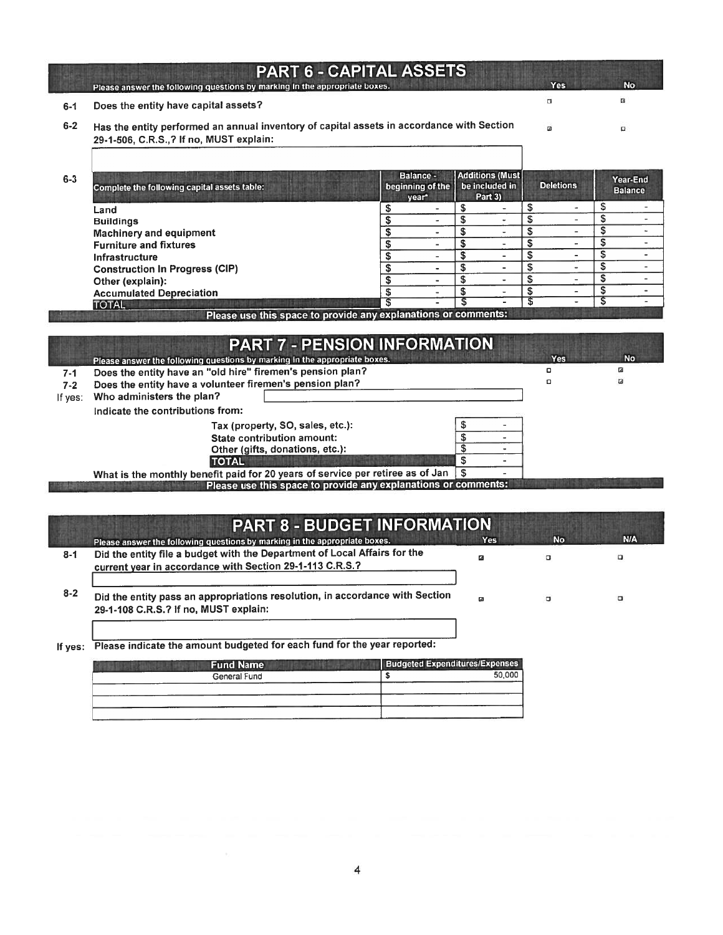|         | <b>PART 6 - CAPITAL ASSETS</b>                                                                                                        |                                        |                                                      |                  |                            |
|---------|---------------------------------------------------------------------------------------------------------------------------------------|----------------------------------------|------------------------------------------------------|------------------|----------------------------|
|         | Please answer the following questions by marking in the appropriate boxes.                                                            |                                        |                                                      | <b>Yes</b>       | <b>No</b>                  |
| $6 - 1$ | Does the entity have capital assets?                                                                                                  |                                        |                                                      | о                | 固                          |
| $6 - 2$ | Has the entity performed an annual inventory of capital assets in accordance with Section<br>29-1-506, C.R.S., ? If no, MUST explain: |                                        |                                                      |                  | $\Box$                     |
| $6 - 3$ | Complete the following capital assets table:                                                                                          | Balance -<br>beginning of the<br>year* | <b>Additions (Must)</b><br>be included in<br>Part 3) | <b>Deletions</b> | Year-End<br><b>Balance</b> |

| Land                                  |  |  |  |  |
|---------------------------------------|--|--|--|--|
| <b>Buildings</b>                      |  |  |  |  |
| <b>Machinery and equipment</b>        |  |  |  |  |
| <b>Furniture and fixtures</b>         |  |  |  |  |
| Infrastructure                        |  |  |  |  |
| <b>Construction In Progress (CIP)</b> |  |  |  |  |
| Other (explain):                      |  |  |  |  |
| <b>Accumulated Depreciation</b>       |  |  |  |  |
| <b>TOTAL</b>                          |  |  |  |  |

Please use this space to provide any explanations or comments:

|         | <b>PART 7 - PENSION INFORMATION</b>                                                       |  |            |           |
|---------|-------------------------------------------------------------------------------------------|--|------------|-----------|
|         | Please answer the following questions by marking in the appropriate boxes.                |  | <b>Yes</b> | <b>No</b> |
| $7 - 1$ | Does the entity have an "old hire" firemen's pension plan?                                |  | o          | ø         |
| $7 - 2$ | Does the entity have a volunteer firemen's pension plan?                                  |  | o          | ఆ         |
| If yes: | Who administers the plan?                                                                 |  |            |           |
|         | Indicate the contributions from:                                                          |  |            |           |
|         | Tax (property, SO, sales, etc.):                                                          |  |            |           |
|         | State contribution amount:                                                                |  |            |           |
|         | Other (gifts, donations, etc.):                                                           |  |            |           |
|         | <b>TOTAL</b>                                                                              |  |            |           |
|         | What is the monthly benefit paid for 20 years of service per retiree as of Jan $\sqrt{8}$ |  |            |           |
|         | Please use this space to provide any explanations or comments:                            |  |            |           |

|         | <b>PART 8 - BUDGET INFORMATION</b>                                                                                                    |            |           |            |
|---------|---------------------------------------------------------------------------------------------------------------------------------------|------------|-----------|------------|
|         | Please answer the following questions by marking in the appropriate boxes.                                                            | <b>Yes</b> | <b>No</b> | <b>N/A</b> |
| $8 - 1$ | Did the entity file a budget with the Department of Local Affairs for the<br>current year in accordance with Section 29-1-113 C.R.S.? | ø          | $\Box$    | o          |
| $8 - 2$ | Did the entity pass an appropriations resolution, in accordance with Section<br>29-1-108 C.R.S.? If no, MUST explain:                 | ø          | $\Box$    | $\Box$     |
|         |                                                                                                                                       |            |           |            |

If yes: Please indicate the amount budgeted for each fund for the year reported:

| <b>Fund Name</b> | <b>Budgeted Expenditures/Expenses</b> |        |  |  |
|------------------|---------------------------------------|--------|--|--|
| General Fund     |                                       | 50.000 |  |  |
|                  |                                       |        |  |  |
|                  |                                       |        |  |  |
|                  |                                       |        |  |  |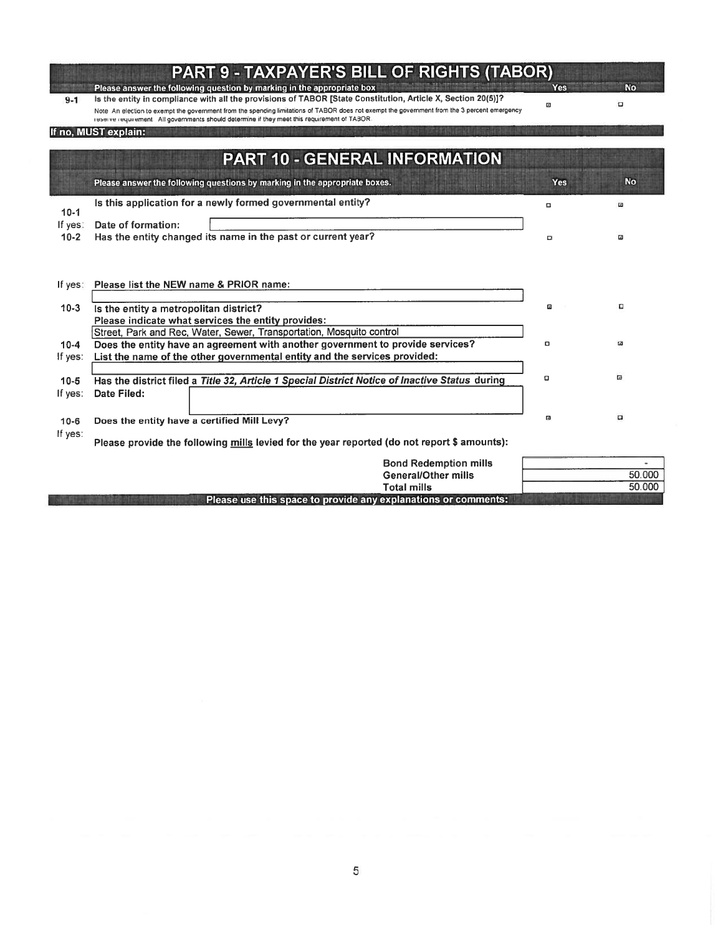|                     | <b>PART 9 - TAXPAYER'S BILL OF RIGHTS (TABOR)</b>                                                                                                                                                                                                                                                                                                             |        |             |
|---------------------|---------------------------------------------------------------------------------------------------------------------------------------------------------------------------------------------------------------------------------------------------------------------------------------------------------------------------------------------------------------|--------|-------------|
|                     | Please answer the following question by marking in the appropriate box                                                                                                                                                                                                                                                                                        | Yes    | <b>No</b>   |
| $9 - 1$             | Is the entity in compliance with all the provisions of TABOR [State Constitution, Article X, Section 20(5)]?<br>Note An election to exempt the government from the spending limitations of TABOR does not exempt the government from the 3 percent emergency<br>reserve requirement. All governments should determine if they meet this requirement of TABOR. | o      | o           |
|                     | If no, MUST explain:                                                                                                                                                                                                                                                                                                                                          |        |             |
|                     | <b>PART 10 - GENERAL INFORMATION</b>                                                                                                                                                                                                                                                                                                                          |        |             |
|                     | Please answer the following questions by marking in the appropriate boxes.                                                                                                                                                                                                                                                                                    | Yes    | <b>No</b>   |
| $10-1$              | Is this application for a newly formed governmental entity?                                                                                                                                                                                                                                                                                                   | $\Box$ | $\Box$      |
| If yes:<br>$10 - 2$ | Date of formation:<br>Has the entity changed its name in the past or current year?                                                                                                                                                                                                                                                                            | $\Box$ | $\Box$      |
| If yes:             | Please list the NEW name & PRIOR name:                                                                                                                                                                                                                                                                                                                        |        |             |
| $10-3$              | Is the entity a metropolitan district?                                                                                                                                                                                                                                                                                                                        | 回      | п           |
|                     | Please indicate what services the entity provides:                                                                                                                                                                                                                                                                                                            |        |             |
|                     | Street, Park and Rec, Water, Sewer, Transportation, Mosquito control                                                                                                                                                                                                                                                                                          |        |             |
| $10 - 4$            | Does the entity have an agreement with another government to provide services?                                                                                                                                                                                                                                                                                | $\Box$ | $\mathbf a$ |
| If yes:             | List the name of the other governmental entity and the services provided:                                                                                                                                                                                                                                                                                     |        |             |
|                     |                                                                                                                                                                                                                                                                                                                                                               | o      | ▣           |
| $10 - 5$<br>If yes: | Has the district filed a Title 32, Article 1 Special District Notice of Inactive Status during<br>Date Filed:                                                                                                                                                                                                                                                 |        |             |
|                     |                                                                                                                                                                                                                                                                                                                                                               |        |             |
| $10 - 6$            | Does the entity have a certified Mill Levy?                                                                                                                                                                                                                                                                                                                   | 回      | o           |
| If yes:             | Please provide the following mills levied for the year reported (do not report \$ amounts):                                                                                                                                                                                                                                                                   |        |             |
|                     | <b>Bond Redemption mills</b>                                                                                                                                                                                                                                                                                                                                  |        |             |
|                     | <b>General/Other mills</b>                                                                                                                                                                                                                                                                                                                                    |        | 50.000      |
|                     | <b>Total mills</b>                                                                                                                                                                                                                                                                                                                                            |        | 50.000      |

Please use this space to provide any explanations or comments: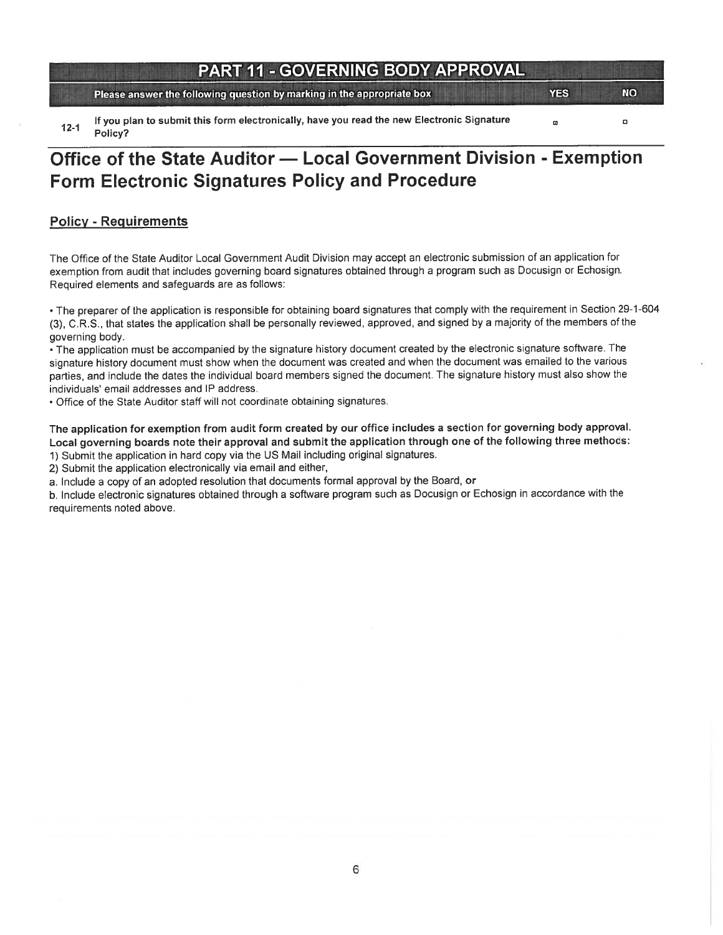### PART 11 - GOVERNING BODY APPROVAL

Please answer the following question by marking in the appropriate box YES YES NO

If you plan to submit this form electronically, have you read the new Electronic Signature ø o Policy?

# Office of the State Auditor — Local Government Division - Exemption Form Electronic Signatures Policy and Procedure

#### Policy - Requirements

The Office of the State Auditor Local Government Audit Division may accep<sup>t</sup> an electronic submission of an application for exemption from audit that includes governing board signatures obtained through <sup>a</sup> program such as Docusign or Echosign. Required elements and safeguards are as follows:

• The preparer of the application is responsible for obtaining board signatures that comply with the requirement in Section 29-1-604 (3), C.R.S. that states the application shall be personally reviewed, approved, and signed by <sup>a</sup> majority of the members of the governing body.

• The application must be accompanied by the signature history document created by the electronic signature software. The signature history document must show when the document was created and when the document was emailed to the various parties, and include the dates the individual board members signed the document. The signature history must also show the individuals' email addresses and IP address.

Office of the State Auditor staff will not coordinate obtaining signatures.

The application for exemption from audit form created by our office includes <sup>a</sup> section for governing body approval. Local governing boards note their approva<sup>l</sup> and submit the application through one of the following three methods:

1) Submit the application in hard copy via the US Mail including original signatures.

2) Submit the application electronically via email and either,

a. Include <sup>a</sup> copy of an adopted resolution that documents formal approva<sup>l</sup> by the Board, or

b. Include electronic signatures obtained through <sup>a</sup> software program such as Docusign or Echosign in accordance with the requirements noted above.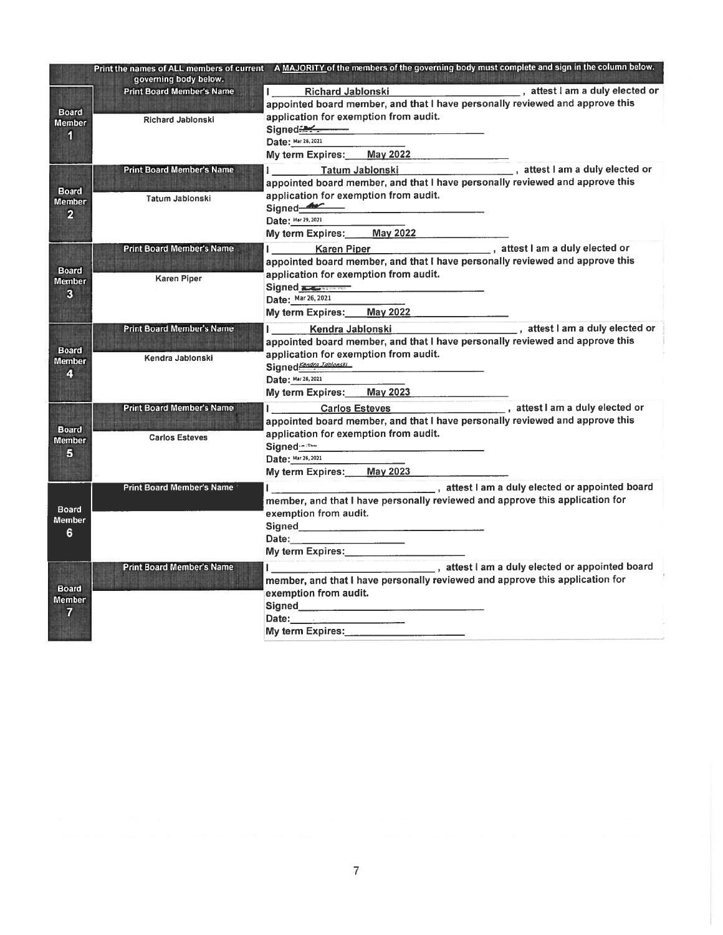|                                 |                                                           | Print the names of ALL members of current A MAJORITY of the members of the governing body must complete and sign in the column below.<br>计随向数据处理程序 的复数形状的 化不同聚合 |  |  |
|---------------------------------|-----------------------------------------------------------|-----------------------------------------------------------------------------------------------------------------------------------------------------------------|--|--|
|                                 | governing body below.<br><b>Print Board Member's Name</b> | , attest I am a duly elected or<br><b>Richard Jablonski</b>                                                                                                     |  |  |
|                                 |                                                           | appointed board member, and that I have personally reviewed and approve this                                                                                    |  |  |
| <b>Board</b><br><b>Member</b>   | <b>Richard Jablonski</b>                                  | application for exemption from audit.                                                                                                                           |  |  |
| 1                               |                                                           | Signed 2<br>Date: Mar 26, 2021                                                                                                                                  |  |  |
|                                 |                                                           | May 2022<br>My term Expires:                                                                                                                                    |  |  |
|                                 | <b>Print Board Member's Name</b>                          | _,attest I am a duly elected or<br>Tatum Jablonski                                                                                                              |  |  |
|                                 |                                                           | appointed board member, and that I have personally reviewed and approve this                                                                                    |  |  |
| <b>Board</b><br><b>Member</b>   | Tatum Jabionski                                           | application for exemption from audit.                                                                                                                           |  |  |
| $\overline{2}$                  |                                                           | Signed-<br>Date: Mar 29, 2021                                                                                                                                   |  |  |
|                                 |                                                           | My term Expires:<br>May 2022                                                                                                                                    |  |  |
|                                 | <b>Print Board Member's Name</b>                          | Karen Piper (Karen Piper ), attest I am a duly elected or                                                                                                       |  |  |
|                                 |                                                           | appointed board member, and that I have personally reviewed and approve this                                                                                    |  |  |
| <b>Board</b><br><b>Member</b>   | <b>Karen Piper</b>                                        | application for exemption from audit.                                                                                                                           |  |  |
| 3                               |                                                           | Signed <b>Reserves</b>                                                                                                                                          |  |  |
|                                 |                                                           | Date: Mar 26, 2021                                                                                                                                              |  |  |
|                                 |                                                           | My term Expires: May 2022                                                                                                                                       |  |  |
|                                 | <b>Print Board Member's Name</b>                          | Kendra Jablonski<br>appointed board member, and that I have personally reviewed and approve this                                                                |  |  |
| <b>Board</b>                    |                                                           | application for exemption from audit.                                                                                                                           |  |  |
| <b>Member</b>                   | Kendra Jablonski                                          | Signed Kandra Jablonski                                                                                                                                         |  |  |
| 4                               |                                                           | Date: Mar 26, 2021                                                                                                                                              |  |  |
|                                 |                                                           | My term Expires:<br>May 2023                                                                                                                                    |  |  |
|                                 | <b>Print Board Member's Name</b>                          | , attest I am a duly elected or<br><b>Carlos Esteves</b>                                                                                                        |  |  |
| <b>Board</b>                    |                                                           | appointed board member, and that I have personally reviewed and approve this                                                                                    |  |  |
| <b>Member</b>                   | <b>Carlos Esteves</b>                                     | application for exemption from audit.<br>Signed <b>Management</b>                                                                                               |  |  |
| 5                               |                                                           | Date: Mar 26, 2021                                                                                                                                              |  |  |
|                                 |                                                           | My term Expires: May 2023                                                                                                                                       |  |  |
|                                 | <b>Print Board Member's Name</b>                          | attest I am a duly elected or appointed board                                                                                                                   |  |  |
|                                 |                                                           | member, and that I have personally reviewed and approve this application for                                                                                    |  |  |
| Board<br><b>Member</b><br>6     |                                                           | exemption from audit.                                                                                                                                           |  |  |
|                                 |                                                           | Signed________________                                                                                                                                          |  |  |
|                                 |                                                           | Date: ___________________<br>My term Expires: My term and the state of the state of the state of the state of the state of the state of the                     |  |  |
|                                 | <b>Print Board Member's Name</b>                          |                                                                                                                                                                 |  |  |
|                                 |                                                           | member, and that I have personally reviewed and approve this application for                                                                                    |  |  |
| <b>Board</b>                    |                                                           | exemption from audit.                                                                                                                                           |  |  |
| <b>Member</b><br>$\overline{7}$ |                                                           |                                                                                                                                                                 |  |  |
|                                 |                                                           |                                                                                                                                                                 |  |  |
|                                 |                                                           | My term Expires: _________________                                                                                                                              |  |  |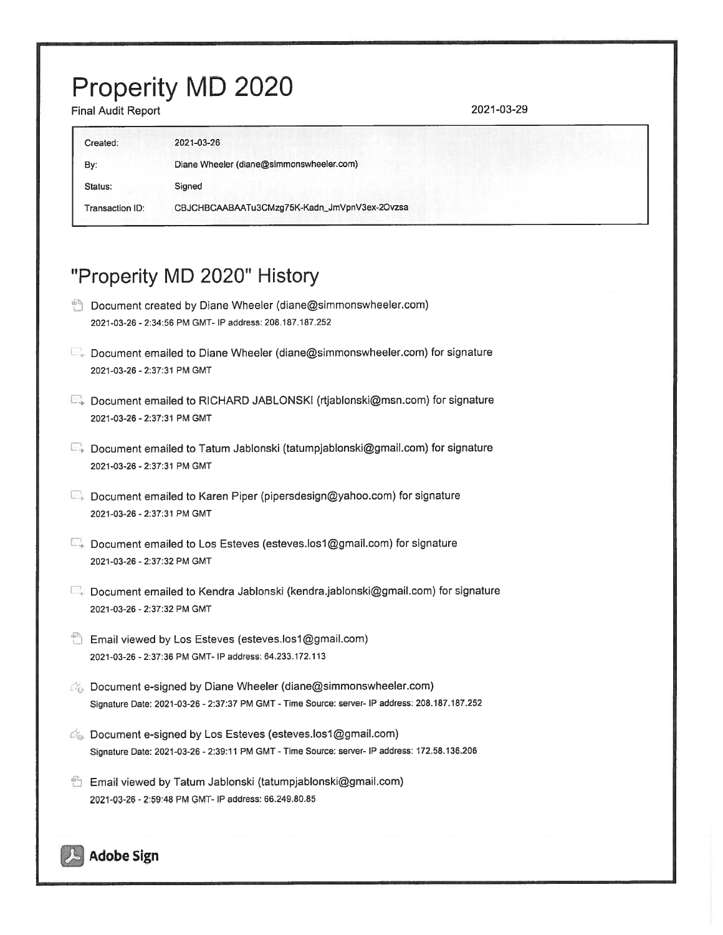# Properity MD 2020

Final Audit Report 2021-03-29

| 2021-03-26                                   |
|----------------------------------------------|
| Diane Wheeler (diane@simmonswheeler.com)     |
| Signed                                       |
| CBJCHBCAABAATu3CMzg75K-Kadn_JmVpnV3ex-2Ovzsa |
|                                              |

# "Properity MD 2020" History

- **Document created by Diane Wheeler (diane@simmonswheeler.com)** 2021-03-26 - 2:34:56 PM GMT- P address: 208.187.187.252
- Document emailed to Diane Wheeler (diane@simmonswheeler.com) for signature 2021-03-26 - 2:37:31 PM GMT
- E Document emailed to RICHARD JABLONSKI (rtjablonski@msn.com) for signature 2021-03-26 - 2:37:31 PM GMT
- E. Document emailed to Tatum Jablonski (tatumpjablonski@gmail.com) for signature 2021-03-26 - 2:37:31 PM GMT
- E. Document emailed to Karen Piper (pipersdesign@yahoo.com) for signature 2021-03-26 - 2:37:31 PM CMI
- E. Document emailed to Los Esteves (esteves.los1@gmail.com) for signature 2021-03-26 - 2:37:32 PM CMI
- C Document emailed to Kendra Jablonski (kendra.jablonski@gmail.com) for signature 2021-03-26 - 2:37:32 PM GMT
- Email viewed by Los Esteves (esteves.los1@gmail.com) 2021-03-26 - 2:37:36 PM CMI- P address: 64.233.172.113
- **EX** Document e-signed by Diane Wheeler (diane@simmonswheeler.com) Signature Date: 2021-03-26 - 2:37:37 PM CMT - Time Source: server- IP address: 208.187.187.252
- $\mathbb{Z}_p$ . Document e-signed by Los Esteves (esteves.los1@gmail.com) Signature Date: 2021-03-26 - 2:39:11 PM GMT - Time Source: server- IP address: 172.58.136.206
- Email viewed by Tatum Jablonski (tatumpjablonski@gmail.com) 2021-03-26 - 2:59:48 PM CMI- IP address: 66.249.80.85

### Adobe Sign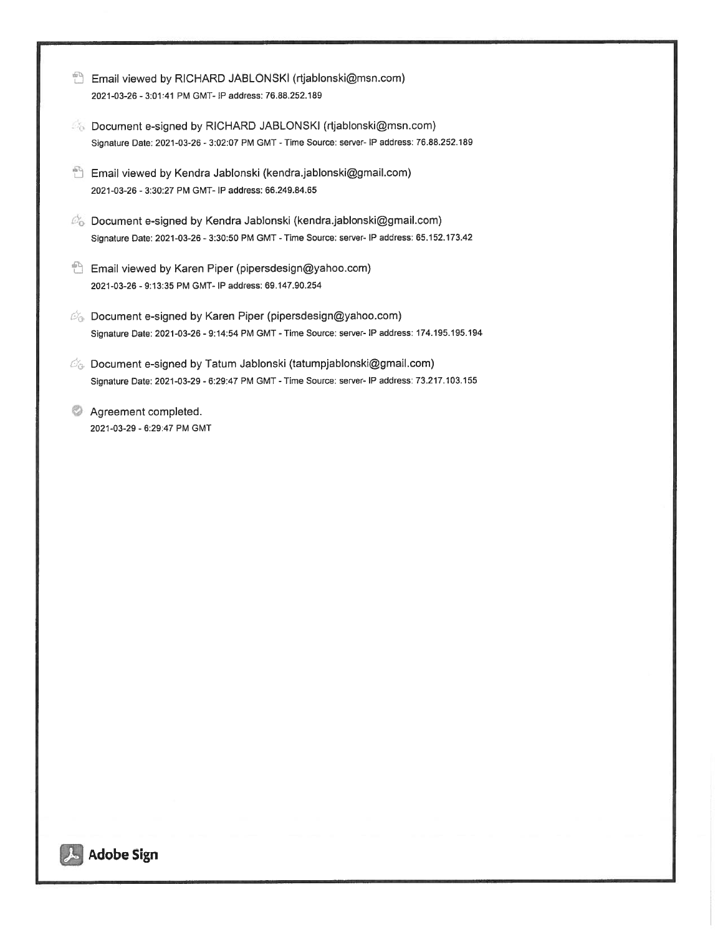- Email viewed by RICHARD JABLONSKI (rtjablonski@msn.com) 2021-03-26 - 3:01:41 PM GMT- IP address: 76.88.252.189
- **S** Document e-signed by RICHARD JABLONSKI (rtjablonski@msn.com) Signature Date: 2021-03-26 - 3:02:07 PM GMT -Time Source: server- IP address: 76.88.252.189
- Email viewed by Kendra Jablonski (kendra.jablonski@gmail.com) 2021-03-26 - 3:30:27 PM GMT- P address: 66.249.84.65
- Document e-signed by Kendra Jablonski (kendra.jablonski@gmaiI.com) Signature Date: 2021-03-26 -3:30:50 PM GMT -Time Source: server- <sup>P</sup> address: 65.152.173.42
- Email viewed by Karen Piper (pipersdesign@yahoo.com) 2021-03-26 - 9:13:35 PM GMT- IP address: 69.147.90.254
- $\mathcal{D}_{\Theta}$  Document e-signed by Karen Piper (pipersdesign@yahoo.com) Signature Date: 2021-03-26 - 9:14:54 PM GMT -Time Source: server- IP address: 174.195.195.194
- $\mathcal{O}_\Theta$  Document e-signed by Tatum Jablonski (tatumpjablonski@gmail.com) Signature Date: 2021-03-29 - 6:29:47 PM GMT - Time Source: server- IP address: 73.217.103.155
- **Agreement completed.** 2021-03-29 - 6.29:47 PM GMT

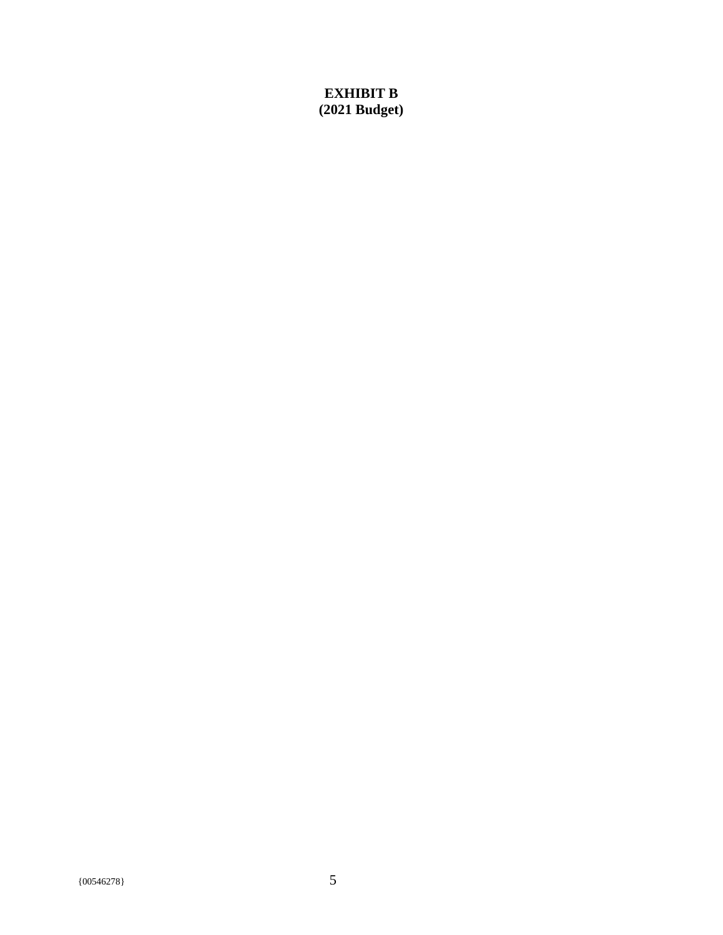### **EXHIBIT B (2021 Budget)**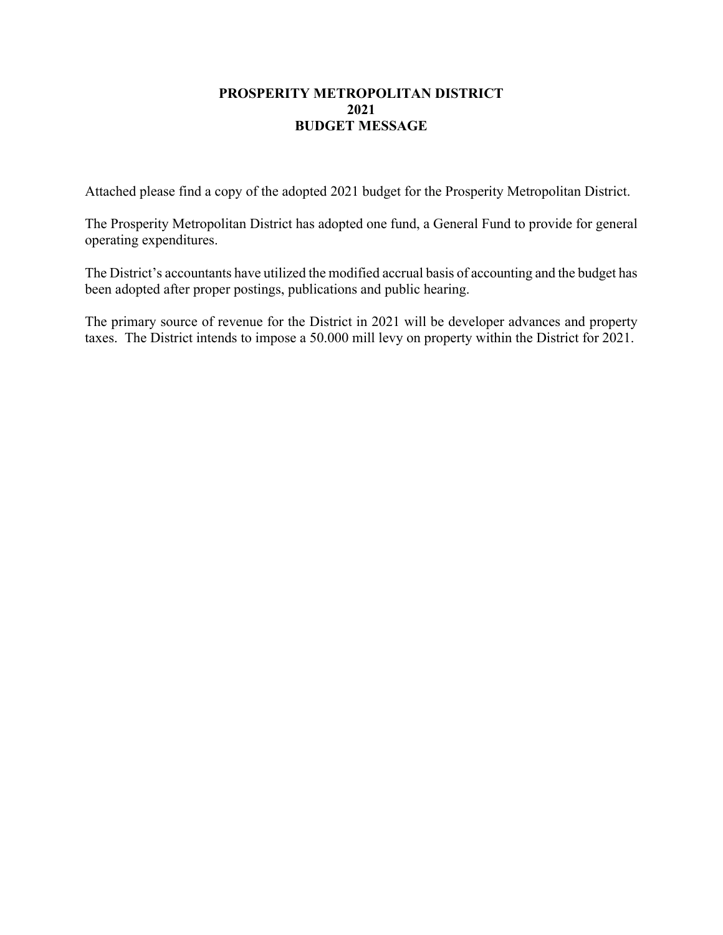#### **PROSPERITY METROPOLITAN DISTRICT 2021 BUDGET MESSAGE**

Attached please find a copy of the adopted 2021 budget for the Prosperity Metropolitan District.

The Prosperity Metropolitan District has adopted one fund, a General Fund to provide for general operating expenditures.

The District's accountants have utilized the modified accrual basis of accounting and the budget has been adopted after proper postings, publications and public hearing.

The primary source of revenue for the District in 2021 will be developer advances and property taxes. The District intends to impose a 50.000 mill levy on property within the District for 2021.